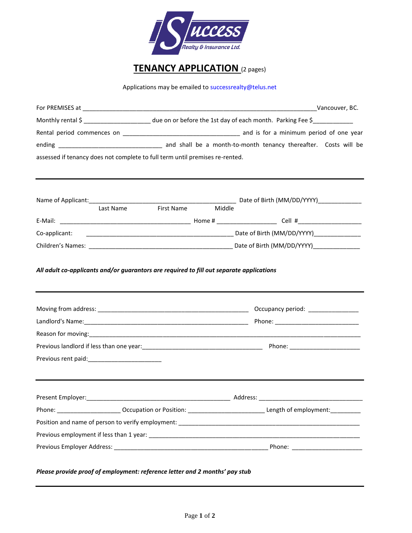

## **TENANCY APPLICATION** (2 pages)

Applications may be emailed t[o successrealty@telus.net](mailto:successrealty@telus.net)

|               |                                                                              |        | Monthly rental \$ _______________________ due on or before the 1st day of each month. Parking Fee \$                                                                                                                          |  |  |
|---------------|------------------------------------------------------------------------------|--------|-------------------------------------------------------------------------------------------------------------------------------------------------------------------------------------------------------------------------------|--|--|
|               |                                                                              |        |                                                                                                                                                                                                                               |  |  |
|               |                                                                              |        |                                                                                                                                                                                                                               |  |  |
|               | assessed if tenancy does not complete to full term until premises re-rented. |        |                                                                                                                                                                                                                               |  |  |
|               |                                                                              |        |                                                                                                                                                                                                                               |  |  |
|               |                                                                              |        |                                                                                                                                                                                                                               |  |  |
|               | <b>First Name</b><br>Last Name                                               | Middle |                                                                                                                                                                                                                               |  |  |
|               |                                                                              |        |                                                                                                                                                                                                                               |  |  |
| Co-applicant: |                                                                              |        |                                                                                                                                                                                                                               |  |  |
|               |                                                                              |        |                                                                                                                                                                                                                               |  |  |
|               |                                                                              |        |                                                                                                                                                                                                                               |  |  |
|               |                                                                              |        |                                                                                                                                                                                                                               |  |  |
|               |                                                                              |        | Reason for moving: 1990 and 2000 and 2000 and 2000 and 2000 and 2000 and 2000 and 2000 and 2000 and 2000 and 2000 and 2000 and 2000 and 2000 and 2000 and 2000 and 2000 and 2000 and 2000 and 2000 and 2000 and 2000 and 2000 |  |  |
|               |                                                                              |        |                                                                                                                                                                                                                               |  |  |
|               |                                                                              |        |                                                                                                                                                                                                                               |  |  |
|               |                                                                              |        |                                                                                                                                                                                                                               |  |  |
|               |                                                                              |        | Phone: __________________________Occupation or Position: _________________________________Length of employment: ____________                                                                                                  |  |  |
|               |                                                                              |        |                                                                                                                                                                                                                               |  |  |
|               |                                                                              |        |                                                                                                                                                                                                                               |  |  |
|               |                                                                              |        |                                                                                                                                                                                                                               |  |  |
|               | Please provide proof of employment: reference letter and 2 months' pay stub  |        |                                                                                                                                                                                                                               |  |  |